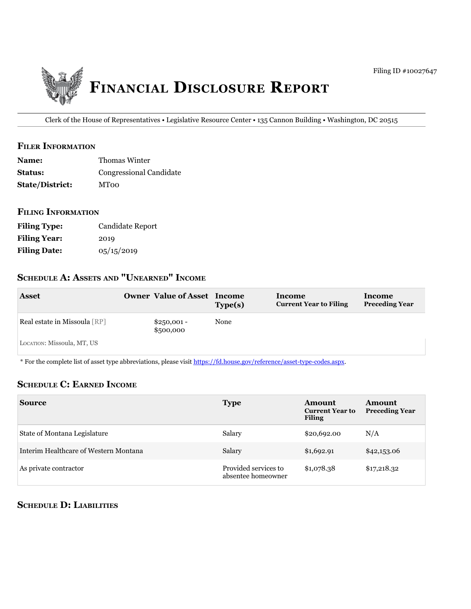

Clerk of the House of Representatives • Legislative Resource Center • 135 Cannon Building • Washington, DC 20515

### **filer information**

| <b>Name:</b>           | Thomas Winter           |
|------------------------|-------------------------|
| <b>Status:</b>         | Congressional Candidate |
| <b>State/District:</b> | <b>MToo</b>             |

#### **filing information**

| <b>Filing Type:</b> | Candidate Report |
|---------------------|------------------|
| <b>Filing Year:</b> | 2019             |
| <b>Filing Date:</b> | 05/15/2019       |

# **ScheDule a: aSSetS anD "unearneD" income**

| <b>Asset</b>                 | <b>Owner Value of Asset</b> | Income<br>Type(s) | Income<br><b>Current Year to Filing</b> | Income<br><b>Preceding Year</b> |
|------------------------------|-----------------------------|-------------------|-----------------------------------------|---------------------------------|
| Real estate in Missoula [RP] | $$250,001 -$<br>\$500,000   | None              |                                         |                                 |
| LOCATION: Missoula, MT, US   |                             |                   |                                         |                                 |

\* For the complete list of asset type abbreviations, please visit<https://fd.house.gov/reference/asset-type-codes.aspx>.

#### **ScheDule c: earneD income**

| <b>Source</b>                         | <b>Type</b>                                | Amount<br><b>Current Year to</b><br><b>Filing</b> | <b>Amount</b><br><b>Preceding Year</b> |
|---------------------------------------|--------------------------------------------|---------------------------------------------------|----------------------------------------|
| State of Montana Legislature          | Salary                                     | \$20,692.00                                       | N/A                                    |
| Interim Healthcare of Western Montana | Salary                                     | \$1,692.91                                        | \$42,153.06                            |
| As private contractor                 | Provided services to<br>absentee homeowner | \$1,078.38                                        | \$17,218.32                            |

## **ScheDule D: liabilitieS**